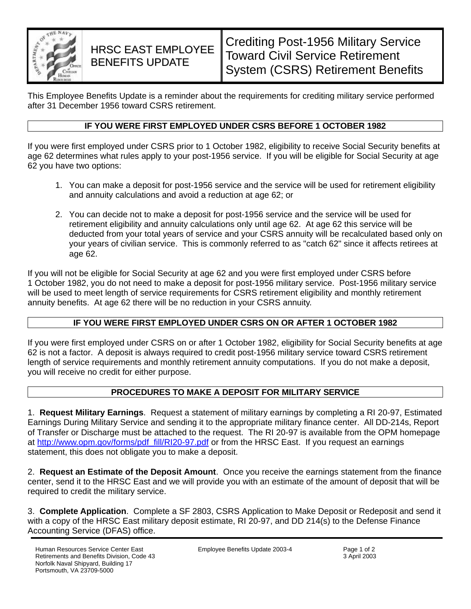

# HRSC EAST EMPLOYEE BENEFITS UPDATE

This Employee Benefits Update is a reminder about the requirements for crediting military service performed after 31 December 1956 toward CSRS retirement.

## **IF YOU WERE FIRST EMPLOYED UNDER CSRS BEFORE 1 OCTOBER 1982**

If you were first employed under CSRS prior to 1 October 1982, eligibility to receive Social Security benefits at age 62 determines what rules apply to your post-1956 service. If you will be eligible for Social Security at age 62 you have two options:

- 1. You can make a deposit for post-1956 service and the service will be used for retirement eligibility and annuity calculations and avoid a reduction at age 62; or
- 2. You can decide not to make a deposit for post-1956 service and the service will be used for retirement eligibility and annuity calculations only until age 62. At age 62 this service will be deducted from your total years of service and your CSRS annuity will be recalculated based only on your years of civilian service. This is commonly referred to as "catch 62" since it affects retirees at age 62.

If you will not be eligible for Social Security at age 62 and you were first employed under CSRS before 1 October 1982, you do not need to make a deposit for post-1956 military service. Post-1956 military service will be used to meet length of service requirements for CSRS retirement eligibility and monthly retirement annuity benefits. At age 62 there will be no reduction in your CSRS annuity.

# **IF YOU WERE FIRST EMPLOYED UNDER CSRS ON OR AFTER 1 OCTOBER 1982**

If you were first employed under CSRS on or after 1 October 1982, eligibility for Social Security benefits at age 62 is not a factor. A deposit is always required to credit post-1956 military service toward CSRS retirement length of service requirements and monthly retirement annuity computations. If you do not make a deposit, you will receive no credit for either purpose.

### **PROCEDURES TO MAKE A DEPOSIT FOR MILITARY SERVICE**

1. **Request Military Earnings**. Request a statement of military earnings by completing a RI 20-97, Estimated Earnings During Military Service and sending it to the appropriate military finance center. All DD-214s, Report of Transfer or Discharge must be attached to the request. The RI 20-97 is available from the OPM homepage at http://www.opm.gov/forms/pdf\_fill/RI20-97.pdf or from the HRSC East. If you request an earnings statement, this does not obligate you to make a deposit.

2. **Request an Estimate of the Deposit Amount**. Once you receive the earnings statement from the finance center, send it to the HRSC East and we will provide you with an estimate of the amount of deposit that will be required to credit the military service.

3. **Complete Application**. Complete a SF 2803, CSRS Application to Make Deposit or Redeposit and send it with a copy of the HRSC East military deposit estimate, RI 20-97, and DD 214(s) to the Defense Finance Accounting Service (DFAS) office.